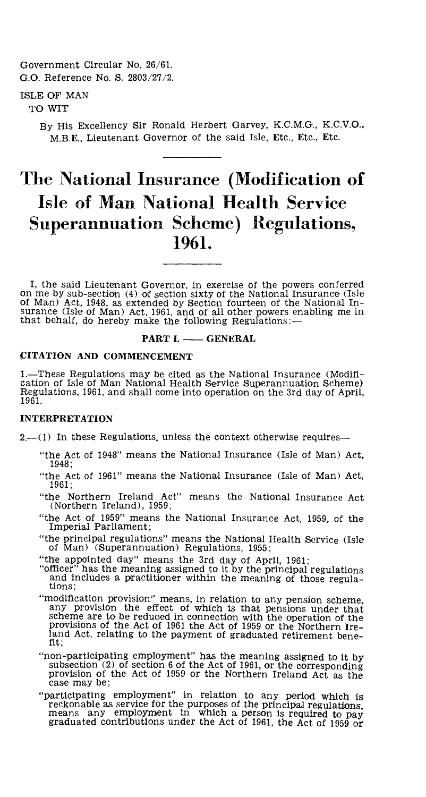Government Circular No. 26/61. G.O. Reference No. S. 2803/27/2.

# ISLE OF MAN

TO WIT

By His Excellency Sir Ronald Herbert Garvey, K.C.M.G., K.C.V.O., M.B.E., Lieutenant Governor of the said Isle, Etc., Etc., Etc.

# **The National Insurance (Modification of Isle of Man National Health. Service Superannuation Scheme) Regulations, 1961.**

I, the said Lieutenant Governor, in exercise of the powers conferred on me by sub-section (4) of section sixty of the National Insurance (Isle of Man) Act, 1948, as extended by Section fourteen of the National Insurance (Isle of Man) Act, 1961, and of all other powers enabling me in that behalf, do hereby make the following Regulations:—

#### **PART I. — GENERAL**

#### **CITATION AND COMMENCEMENT**

1.—These Regulations may be cited as the National Insurance (Modification of Isle of Man National Health Service Superannuation Scheme) Regulations, 1961, and shall come into operation on the 3rd day of April, 1961.

#### **INTERPRETATION**

 $2-(1)$  In these Regulations, unless the context otherwise requires—

- "the Act of 1948" means the National Insurance (Isle of Man) Act, 1948;
- "the Act of 1961" means the National Insurance (Isle of Man) Act, 1961;
- "the Northern Ireland Act" means the National Insurance Act (Northern Ireland), 1959;
- "the Act of 1959" means the National Insurance Act, 1959, of the Imperial Parliament;
- "the principal regulations" means the National Health Service (Isle of Man) (Superannuation) Regulations, 1955;
- "the appointed day" means the 3rd day of April, 1961;
- "officer" has the meaning assigned to it by the principal regulations and includes a practitioner within the meaning of those regulations;
- "modification provision" means, in relation to any pension scheme, any provision the effect of which is that pensions under that scheme are to be reduced in connection with the operation of the provisions of the Act of 1961 the Act of 1959 or the Northern Ireland Act, relating to the payment of graduated retirement benefit;
- "non-participating employment" has the meaning assigned to it by subsection (2) of section 6 of the Act of 1961, or the corresponding provision of the Act of 1959 or the Northern Ireland Act as the case may be;
- "participating employment" in relation to any period which is reckonable as service for the purposes of the principal regulations, means any employment in which a person is required to pay graduated contributions under the Act of 1961, the Act of 1959 or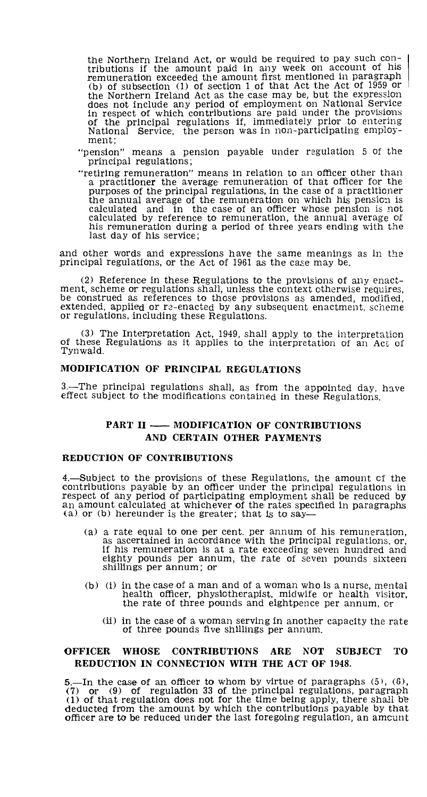the Northern Ireland Act, or would be required to pay such con-tributions if the amount paid in any week on account of his remuneration exceeded the amount first mentioned in paragraph (b) of subsection (1) of section 1 of that Act the Act of 1959 or the Northern Ireland Act as the case may be, but the expression does not include any period of employment on National Service in respect of which contributions are paid under the provisions of the principal regulations if, immediately prior to entering National Service, the person was in non-participating employment;

"pension" means a pension payable under regulation 5 of the principal regulations;

"retiring remuneration" means in relation to an officer other than a practitioner the average remuneration of that officer for the purposes of the principal regulations, in the case of a practitioner<br>the annual average of the remuneration on which his pension is<br>calculated and in the case of an officer whose pension is not<br>calculated by reference to r his remuneration during a period of three years ending with the last day of his service;

and other words and expressions have the same meanings as in the principal regulations, or the Act of 1961 as the case may be.

(2) Reference in these Regulations to the provisions of any enactment, scheme or regulations shall, unless the context otherwise requires, be construed as references to those provisions as amended, modified, extended, applied or re-enacted by any subsequent enactment, scheme or regulations, including these Regulations.

(3) The Interpretation Act, 1949, shall apply to the interpretation of these Regulations as it applies to the interpretation of an Act of Tynwald.

# **MODIFICATION OF PRINCIPAL REGULATIONS**

3.—The principal regulations shall, as from the appointed day, have effect subject to the modifications contained in these Regulations.

# PART II —— MODIFICATION OF CONTRIBUTIONS **AND CERTAIN OTHER PAYMENTS**

#### **REDUCTION OF CONTRIBUTIONS**

4.—Subject to the provisions of these Regulations, the amount of the contributions payable by an officer under the principal regulations in respect of any period of participating employment shall be reduced **by**  an amount calculated at whichever of the rates specified in paragraphs (a) or (b) hereunder is the greater; that is to say—

- (a) a rate equal to one per cent. per annum of his remuneration, as ascertained in accordance with the principal regulations, or, if his remuneration is at a rate exceeding seven hundred and eighty pounds per annum, the rate of seven pounds sixteen shillings per annum; or
- (b) (i) in the case of a man and of a woman who is a nurse, mental health officer, physiotherapist, midwife or health visitor, the rate of three pounds and eightpence per annum, or
	- (ii) in the case of a woman serving in another capacity the rate of three pounds five shillings per annum.

# **OFFICER WHOSE CONTRIBUTIONS ARE NOT SUBJECT TO REDUCTION IN CONNECTION WITH THE ACT OF 1948.**

5.—In the case of an officer to whom by virtue of paragraphs (5), (6), (7) **or** (9) of regulation 33 of the principal regulations, paragraph (1) of that regulation does not for the time being apply, there shall he deducted from the amount by which the contributions payable by that officer are to be reduced under the last foregoing regulation, an amount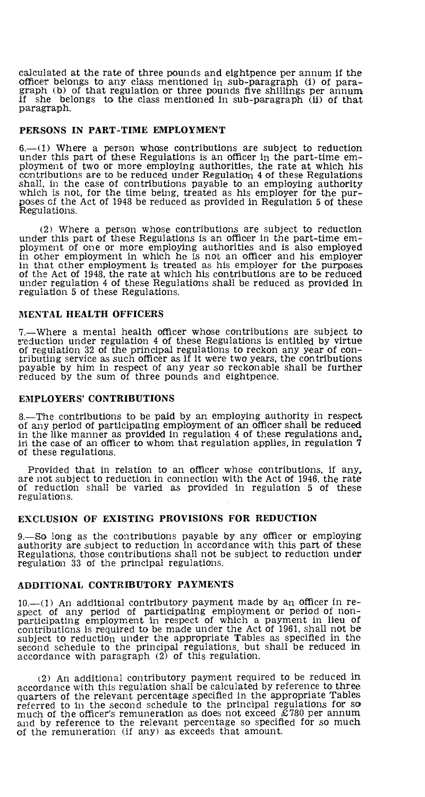calculated at the rate of three pounds and eightpence per annum if the officer belongs to any class mentioned in sub-paragraph (i) of paragraph (b) of that regulation or three pounds five shillings per annum if she belongs to the class mentioned in sub-paragraph (ii) of that paragraph.

#### **PERSONS IN PART-TIME EMPLOYMENT**

6.—(1) Where a person whose contributions are subject to reduction under this part of these Regulations is an officer in the part-time employment of two or more employing authorities, the rate at which his contributions are to be reduced under Regulation 4 of these Regulations shall, in the case of contributions payable to an employing authority which is not, for the time being, treated as his employer for the pur-poses cf the Act of 1948 be reduced as provided in Regulation 5 of these Regulations.

(2) Where a person whose contributions are subject to reduction under this part of these Regulations is an officer in the part-time employment of one or more employing authorities and is also employed in other employment in which he is not an officer and his employer in that other employment is treated as his employer for the purposes of the Act of 1948, the rate at which his contributions are to be reduced under regulation 4 of these Regulations shall be reduced as provided in regulation 5 of these Regulations.

#### **MENTAL HEALTH OFFICERS**

7.—Where a mental health officer whose contributions are subject to ?reduction under regulation 4 of these Regulations is entitled by virtue of regulation 32 of the principal regulations to reckon any year of contributing service as such officer as if it were two years, the contributions payable by him in respect of any year so reckonable shall be further reduced by the sum of three pounds and eightpence.

#### **EMPLOYERS' CONTRIBUTIONS**

8.—The contributions to be paid by an employing authority in respect of any period of participating employment of an officer shall be reduced in the like manner as provided in regulation 4 of these regulations and, in the case of an officer to whom, that regulation applies, in regulation **7**  of these regulations.

Provided that in relation to an officer whose contributions, if any, are not subject to reduction, in connection with the Act of 1946, the rate of reduction shall be varied as provided in regulation 5 of these regulations.

# **EXCLUSION OF EXISTING PROVISIONS FOR REDUCTION**

9.—So long as the contributions payable by any officer or employing authority are subject to reduction in accordance with this part of these Regulations, those contributions shall not be subject to reduction under regulation 33 of the principal regulations.

# **ADDITIONAL CONTRIBUTORY PAYMENTS**

**10.—(1)** An additional contributory payment made by an officer in re-spect of any period of participating employment or period of nonparticipating employment in respect of which a payment in lieu of contributions is required to be made under the Act of 1961, shall not be subject to reduction under the appropriate Tables as specified in the second schedule to the principal regulations, but shall be reduced in accordance with paragraph (2) of this regulation.

(2) An additional contributory payment required to be reduced in accordance with this regulation shall be calculated by reference to three quarters of the relevant percentage specified in the appropriate Tables referred to in the second schedule to the principal regulations for so much of the officer's remuneration as does not exceed  $\mathcal{E}$ 780 per annum and by reference to the relevant percentage so specified for so much of the remuneration (if any) as exceeds that amount.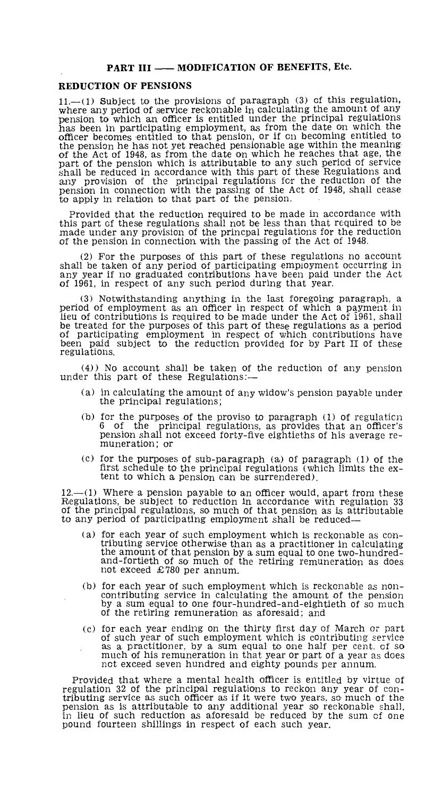#### PART III - MODIFICATION OF BENEFITS, Etc.

#### REDUCTION OF PENSIONS

11.—(1) Subject to the provisions of paragraph (3) cf this regulation, where any period of service reckonable in calculating the amount of any pension to which an officer is entitled under the principal regulations has been in participating employment, as from the date on which the officer becomes entitled to that pension, or if on becoming entitled to the pension he has not yet reached pensionable age within the meaning of the Act of 1948, as from the date on which he reaches that age, the part of the pension which is attributable to any such period of service shall be reduced in accordance with this part of these Regulations and any provision of the principal regulations for the reduction of the pension in connection with the passing of the Act of 1948, shall cease to apply in relation to that part of the pension.

Provided that the reduction required to be made in accordance with this part of these regulations shall not be less than that required to be made under any provision of the princpal regulations for the reduction of the pension in connection with the passing of the Act of 1948.

(2) For the purposes of this part of these regulations no account shall be taken of any period of participating employment occurring in any year if no graduated contributions have been paid under the Act of 1961, in respect of any such period during that year.

(3) Notwithstanding anything in the last foregoing paragraph, a period of employment as an officer in respect of which a payment in lieu of contributions is required to be made under the Act of 1961, shall be treated for the purposes of this part of these regulations as a period of participating employment in respect of which contributions have been paid subject to the reduction provided for by Part II of these regulations.

(4)) No account shall be taken of the reduction of any pension under this part of these Regulations:—

- (a) in calculating the amount of any widow's pension payable under the principal regulations;
- (b) for the purposes of the proviso to paragraph (1) of regulation 6 of the principal regulations, as provides that an officer's pension shall not exceed forty-five eightieths of his average remuneration; or
- (c) for the purposes of sub-paragraph (a) of paragraph (1) of the first schedule to the principal regulations (which limits the extent to which a pension can be surrendered).

 $12$ —(1) Where a pension payable to an officer would, apart from these Regulations, be subject to reduction in accordance with regulation 33 of the principal regulations, so much of that pension as is attributable to any period of participating employment shall be reduced—

- (a) for each year of such employment which is reckonable as contributing service otherwise than as a practitioner in calculating the amount of that pension by a sum equal to one two-hundred-and-fortieth of so much of the retiring remuneration as does not exceed £780 per annum.
- (b) for each year of such employment which is reckonable as noncontributing service in calculating the amount of the pension by a sum equal to one four-hundred-and-eightieth of so much of the retiring remuneration as aforesaid; and
- (c) for each year ending on the thirty first day of March or part of such year of such employment which is contributing service as a practitioner, by a sum equal to one half per cent. of so much of his remuneration in that year or part of a year as does not exceed seven hundred and eighty pounds per annum.

Provided that where a mental health officer is entitled by virtue of regulation 32 of the principal regulations to reckon any year of contributing service as such officer as if it were two years, so much of the pension as is attributable to any additional year so reckonable shall. in lieu of such reduction as aforesaid be reduced by the sum of one pound fourteen shillings in respect of each such year.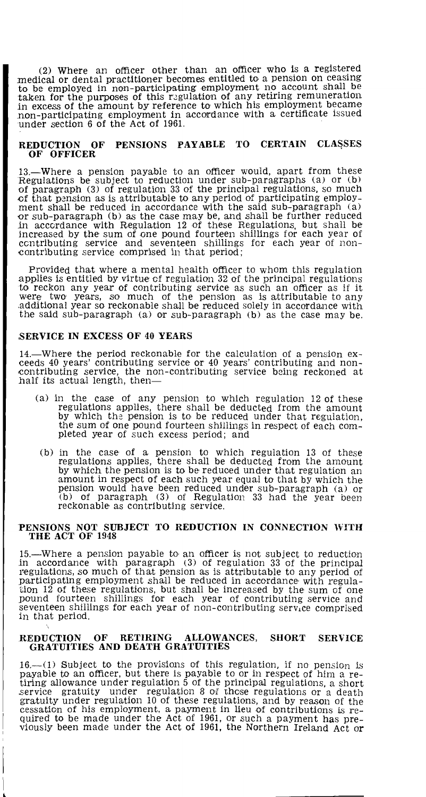(2) Where an officer other than an officer who is a registered medical or dental practitioner becomes entitled to a pension on ceasing to be employed in non-participating employment no account shall be taken for the purposes of this regulation of any retiring remuneration. in excess of the amount by reference to which his employment became non-participating employment in accordance with a certificate issued under section 6 of the Act of 1961.

#### **REDUCTION OF PENSIONS PAYABLE TO CERTAIN CLA**S**SES OF OFFICER**

13.—Where a pension payable to an officer would, apart from these Regulations be subject to reduction under sub-paragraphs (a) or (b) of paragraph (3) of regulation 33 of the principal regulations, so much of that pension as is attributable to any period of participating employ-ment shall be reduced in accordance with the said sub-paragraph (a) or sub-paragraph (b) as the case may be, and shall be further reduced in accordance with Regulation 12 of these Regulations, but shall be increased by the sum of one pound fourteen shillings for each year of contributing service and seventeen shillings for each year of noncontributing service comprised in that period;

Provided that where a mental health officer to whom this regulation applies is entitled by virtue of regulation 32 of the principal regulations to reckon any year of contributing service as such an officer as if it were two years, so much of the pension as is attributable to any additional year so reckonable shall be reduced solely in accordance with the said sub-paragraph (a) or sub-paragraph (b) as the case may be.

#### **SERVICE IN EXCESS OF 40 YEARS**

14.—Where the period reckonable for the calculation of a pension exceeds 40 years' contributing service or 40 years' contributing and noncontributing service, the non-contributing service being reckoned at half its actual length, then—

- (a) in the case of any pension to which regulation 12 of these regulations applies, there shall be deducted from the amount by which the pension is to be reduced under that regulation, the sum of one pound fourteen shillings in respect of each com-pleted year of such excess period; and
- (b) in the case of a pension to which regulation 13 of these regulations applies, there shall be deducted from the amount by which the pension is to be reduced under that regulation an amount in respect of each such year equal to that by which the pension would have been reduced under sub-paragraph (a) or (b) of paragraph (3) of Regulation 33 had the year been reckonable as contributing service.

#### **PENSIONS NOT SUBJECT TO REDUCTION IN CONNECTION WITH THE ACT OF 1948**

15.—Where a pension payable to an officer is not subject to reduction in accordance with paragraph (3) of regulation 33 of the principal regulations, so much of that pension as is attributable to any period of participating employment shall be reduced in accordance with regulation 12 of these regulations, but shall be increased by the sum of one pound fourteen shillings for each year of contributing service and seventeen shillings for each year of non-contributing service comprised in that period.

#### **REDUCTION OF RETIRING ALLOWANCES, SHORT SERVICE GRATUITIES AND DEATH GRATUITIES**

 $16-(1)$  Subject to the provisions of this regulation, if no pension is payable to an officer, but there is payable to or in respect of him a retiring allowance under regulation 5 of the principal regulations, a short service gratuity under regulation 8 of these regulations or a death gratuity cessation of his employment, a payment in lieu of contributions is required to be made under the Act of 1961, or such a payment has previously been made under the Act of 1961, the Northern Ireland Act or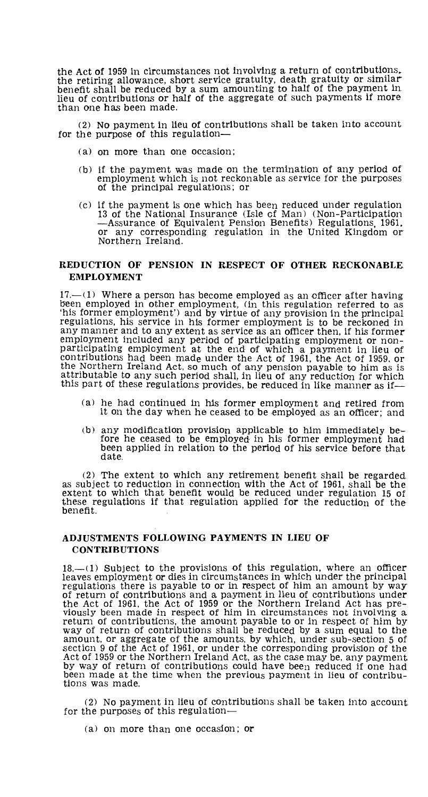the Act of 1959 in circumstances not Involving a return of contributions,. the retiring allowance, short service gratuity, death gratuity or similar benefit shall be reduced by a sum amounting to half of the payment in lieu of contributions or half of the aggregate of such payments if more than one has been made.

(2) No payment in lieu of contributions shall be taken into account for the purpose of this regulation-

- (a) on more than one occasion;
- (b) if the payment was made on the termination of any period of employment which is not reckonable as service for the purposes of the principal regulations; or
- (c) if the payment is one which has been reduced under regulation 13 of the National Insurance (Isle cf Man) (Non-Participation —Assurance of Equivalent Pension Benefits) Regulations, 1961. or any corresponding regulation in the United Kingdom or Northern Ireland.

# **REDUCTION OF PENSION IN RESPECT OF OTHER RECKONABLE. EMPLOYMENT**

 $17 - (1)$  Where a person has become employed as an officer after having been employed in other employment, (in this regulation referred to as 'his former employment') and by virtue of any provision in the principal regulations, his service in his former employment is to be reckoned in any manner and to any extent as service as an officer then, if his former' employment included any period of participating employment or non-<br>participating employment at the end of which a payment in lieu of<br>contributions had been made under the Act of 1961, the Act of 1959, or<br>the Northern Irela attributable to any such period shall, in lieu of any reduction for which this part of these regulations provides, be reduced in like manner as if—

- (a) he had continued in his former employment and retired from it on the day when he ceased to be employed as an officer; and
- (b) any modification provision applicable to him immediately before he ceased to be employed in his former employment had been applied in relation to the period of his service before that date.

(2) The extent to which any retirement benefit shall be regarded as subject to reduction in connection with the Act of 1961, shall be the extent to which that benefit would be reduced under regulation 15 of these regulations if that regulation applied for the reduction of the benefit.

# **ADJUSTMENTS FOLLOWING PAYMENTS IN LIEU OF CONTRIBUTIONS**

 $18.$ — $(1)$  Subject to the provisions of this regulation, where an officer leaves employment or dies in circumstances in which under the principal regulations there is payable to or in respect of him an amount by way of return of contributions and a payment in lieu of contributions under the Act of 1961, the Act of 1959 or the Northern Ireland Act has previously been made in respect of him in circumstances not involving a return of contributions, the amount payable to or in respect of him by way of return of contributions shall be reduced by a sum equal to the amount, or aggregate of the amounts, by which, under sub-section 5 of section 9 of the Act of 1961, or under the corresponding provision of the Act of 1959 or the Northern Ireland Act, as the case may be, any payment, by way of return of contributions could have been reduced if one had been made at the time when the previous payment in lieu of contributions was made.

(2) No payment in lieu of contributions shall be taken into account for the purposes of this regulation—

(a) on more than one occasion; or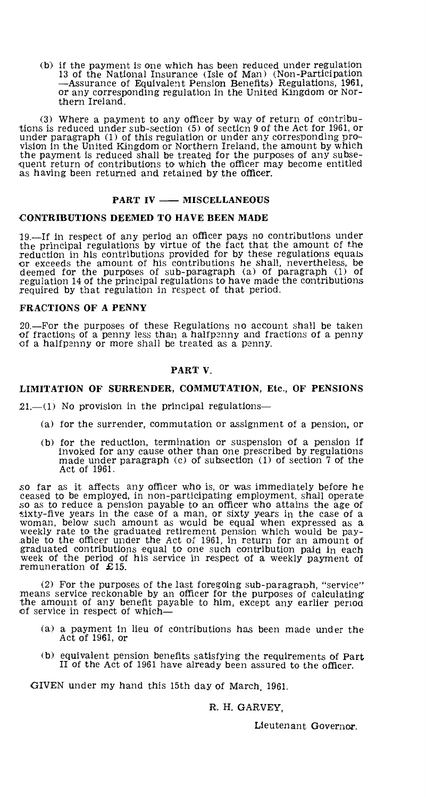(b) if the payment is one which has been reduced under regulation 13 of the National Insurance (Isle of Man) (Non-Participation —Assurance of Equivalent Pension Benefits) Regulations, 1961, or any corresponding regulation in the United Kingdom or Northern Ireland.

(3) Where a payment to any officer by way of return of contributions is reduced under sub-section (5) of section 9 of the Act for 1961, or under paragraph (1) of this regulation or under any corresponding provision in the United Kingdom or Northern Ireland, the amount by which the payment is reduced shall be treated for the purposes of any subse-quent return of contributions to which the officer may become entitled as having been returned and retained **by the officer.** 

#### **PART IV — MISCELLANEOUS**

#### **CONTRIBUTIONS DEEMED TO HAVE BEEN MADE**

19.—If in respect of any period an officer pays no contributions under the principal regulations by virtue of the fact that the amount of the reduction in his contributions provided for by these regulations equals or exceeds the amount of his contributions he shall, nevertheless, **be**  deemed for the purposes of sub-paragraph (a) of paragraph (1) of regulation 14 of the principal regulations to have made the contributions required by that regulation in respect of that period.

#### **FRACTIONS OF A PENNY**

20.—For the purposes of these Regulations no account shall be taken of fractions of a penny less than a halfpenny and fractions of a penny of a halfpenny or more shall be treated as a penny.

# **PART V.**

# **LIMITATION OF SURRENDER, COMMUTATION, Etc., OF PENSIONS**

**21.—(1)** No provision in the principal regulations—

- (a) for the surrender, commutation or assignment of a pension, or
- (b) for the reduction, termination or suspension of a pension if invoked for any cause other than one prescribed by regulations made under paragraph (c) of subsection (1) of section 7 of the Act of 1961.

so far as it affects any officer who is, or was immediately before he ceased to be employed, in non-participating employment, shall operate so as to reduce a pension payable to an officer who attains the age of sixty-five years in the case of a man, or sixty years in the case of a woman, below such amount as would be equal when expressed as a weekly rate to the graduated retirement pension which would be pay-able to the officer under the Act of 1961, in return for an amount of graduated contributions equal to one such contribution paid in each week of the period of his service in respect of a weekly payment of remuneration of £15.

(2) For the purposes of the last foregoing sub-paragraph, "service" means service reckonable by an officer for the purposes of calculating the amount of any benefit payable to him, except any earlier period of service in respect of which—

- (a) a payment in lieu of contributions has been made under the Act of 1961, or
- (b) equivalent pension benefits satisfying the requirements of Part II of the Act of 1961 have already been assured to the officer.

GIVEN under my hand this 15th day of March, 1961.

R. H. GARVEY,

Lieutenant Governor.